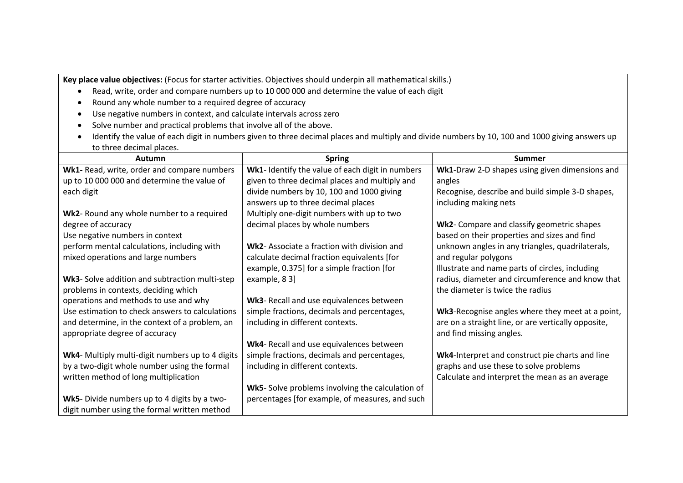**Key place value objectives:** (Focus for starter activities. Objectives should underpin all mathematical skills.)

- Read, write, order and compare numbers up to 10 000 000 and determine the value of each digit
- Round any whole number to a required degree of accuracy
- Use negative numbers in context, and calculate intervals across zero
- Solve number and practical problems that involve all of the above.
- Identify the value of each digit in numbers given to three decimal places and multiply and divide numbers by 10, 100 and 1000 giving answers up to three decimal places.

| Autumn                                           | <b>Spring</b>                                    | <b>Summer</b>                                       |
|--------------------------------------------------|--------------------------------------------------|-----------------------------------------------------|
| Wk1- Read, write, order and compare numbers      | Wk1- Identify the value of each digit in numbers | Wk1-Draw 2-D shapes using given dimensions and      |
| up to 10 000 000 and determine the value of      | given to three decimal places and multiply and   | angles                                              |
| each digit                                       | divide numbers by 10, 100 and 1000 giving        | Recognise, describe and build simple 3-D shapes,    |
|                                                  | answers up to three decimal places               | including making nets                               |
| Wk2- Round any whole number to a required        | Multiply one-digit numbers with up to two        |                                                     |
| degree of accuracy                               | decimal places by whole numbers                  | Wk2- Compare and classify geometric shapes          |
| Use negative numbers in context                  |                                                  | based on their properties and sizes and find        |
| perform mental calculations, including with      | Wk2- Associate a fraction with division and      | unknown angles in any triangles, quadrilaterals,    |
| mixed operations and large numbers               | calculate decimal fraction equivalents [for      | and regular polygons                                |
|                                                  | example, 0.375] for a simple fraction [for       | Illustrate and name parts of circles, including     |
| Wk3- Solve addition and subtraction multi-step   | example, 8 3]                                    | radius, diameter and circumference and know that    |
| problems in contexts, deciding which             |                                                  | the diameter is twice the radius                    |
| operations and methods to use and why            | Wk3- Recall and use equivalences between         |                                                     |
| Use estimation to check answers to calculations  | simple fractions, decimals and percentages,      | Wk3-Recognise angles where they meet at a point,    |
| and determine, in the context of a problem, an   | including in different contexts.                 | are on a straight line, or are vertically opposite, |
| appropriate degree of accuracy                   |                                                  | and find missing angles.                            |
|                                                  | Wk4- Recall and use equivalences between         |                                                     |
| Wk4- Multiply multi-digit numbers up to 4 digits | simple fractions, decimals and percentages,      | Wk4-Interpret and construct pie charts and line     |
| by a two-digit whole number using the formal     | including in different contexts.                 | graphs and use these to solve problems              |
| written method of long multiplication            |                                                  | Calculate and interpret the mean as an average      |
|                                                  | Wk5- Solve problems involving the calculation of |                                                     |
| Wk5- Divide numbers up to 4 digits by a two-     | percentages [for example, of measures, and such  |                                                     |
| digit number using the formal written method     |                                                  |                                                     |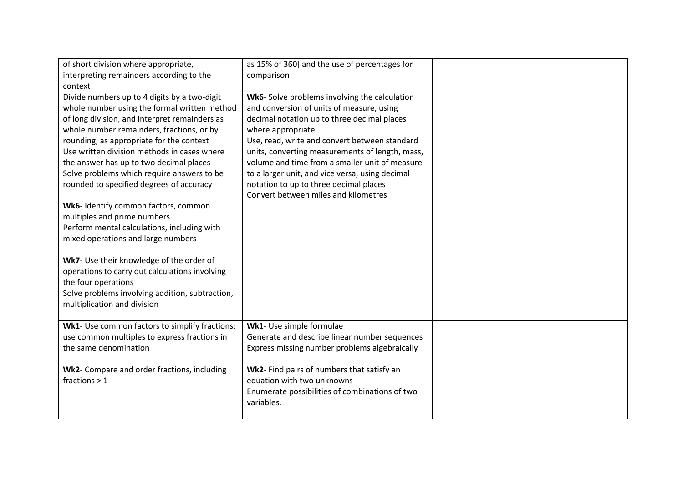| of short division where appropriate,            | as 15% of 360] and the use of percentages for   |  |
|-------------------------------------------------|-------------------------------------------------|--|
| interpreting remainders according to the        | comparison                                      |  |
| context                                         |                                                 |  |
| Divide numbers up to 4 digits by a two-digit    | Wk6- Solve problems involving the calculation   |  |
| whole number using the formal written method    | and conversion of units of measure, using       |  |
| of long division, and interpret remainders as   | decimal notation up to three decimal places     |  |
| whole number remainders, fractions, or by       | where appropriate                               |  |
| rounding, as appropriate for the context        | Use, read, write and convert between standard   |  |
| Use written division methods in cases where     | units, converting measurements of length, mass, |  |
| the answer has up to two decimal places         | volume and time from a smaller unit of measure  |  |
| Solve problems which require answers to be      | to a larger unit, and vice versa, using decimal |  |
| rounded to specified degrees of accuracy        | notation to up to three decimal places          |  |
|                                                 | Convert between miles and kilometres            |  |
| Wk6- Identify common factors, common            |                                                 |  |
| multiples and prime numbers                     |                                                 |  |
| Perform mental calculations, including with     |                                                 |  |
| mixed operations and large numbers              |                                                 |  |
|                                                 |                                                 |  |
| Wk7- Use their knowledge of the order of        |                                                 |  |
| operations to carry out calculations involving  |                                                 |  |
| the four operations                             |                                                 |  |
| Solve problems involving addition, subtraction, |                                                 |  |
| multiplication and division                     |                                                 |  |
| Wk1- Use common factors to simplify fractions;  | Wk1- Use simple formulae                        |  |
| use common multiples to express fractions in    | Generate and describe linear number sequences   |  |
| the same denomination                           | Express missing number problems algebraically   |  |
|                                                 |                                                 |  |
| Wk2- Compare and order fractions, including     | Wk2- Find pairs of numbers that satisfy an      |  |
| fractions $> 1$                                 | equation with two unknowns                      |  |
|                                                 | Enumerate possibilities of combinations of two  |  |
|                                                 | variables.                                      |  |
|                                                 |                                                 |  |